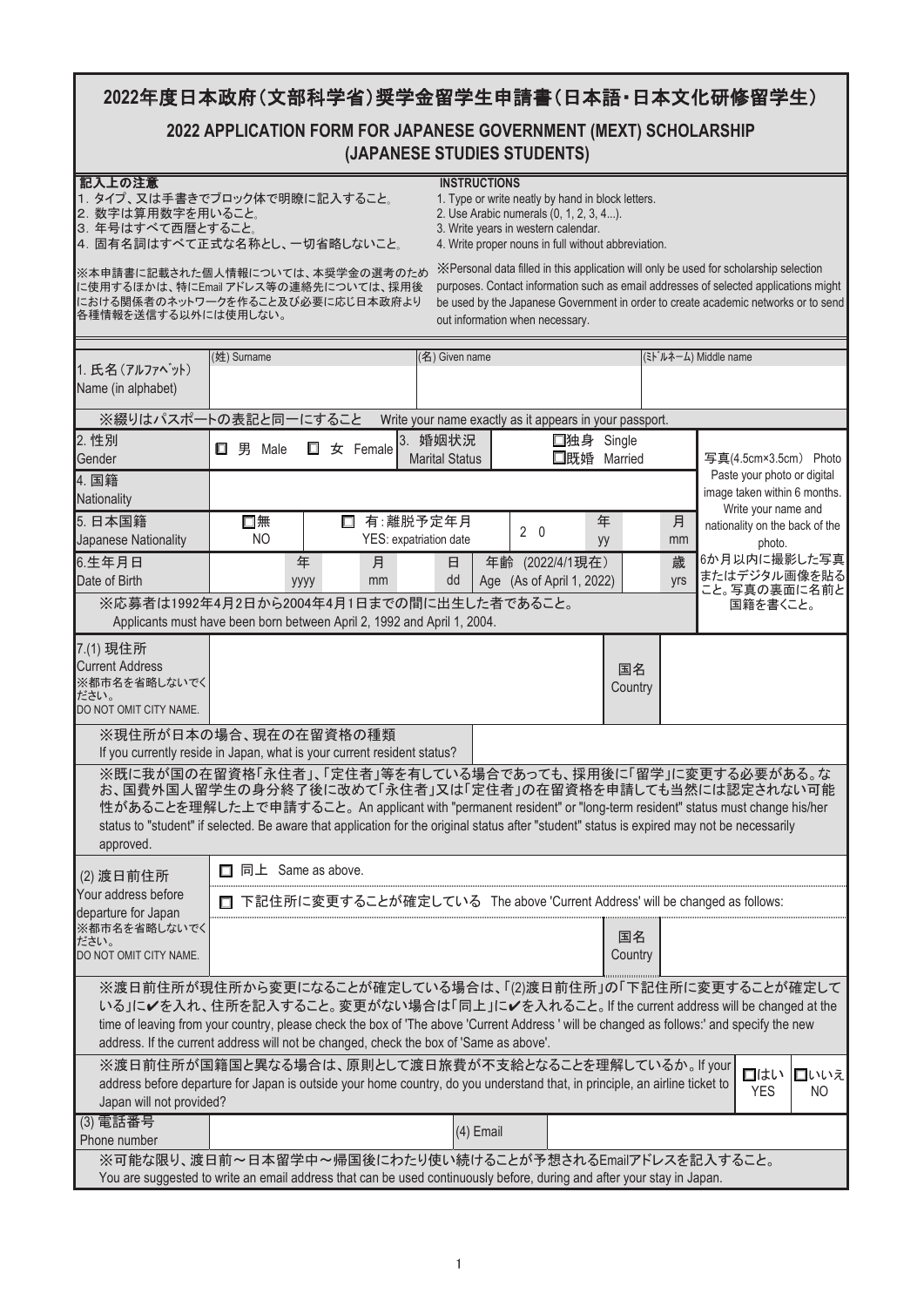# 2022年度日本政府(文部科学省)奨学金留学生申請書(日本語·日本文化研修留学生)

## **2022 APPLICATION FORM FOR JAPANESE GOVERNMENT (MEXT) SCHOLARSHIP** 䚷**(JAPANESE STUDIES STUDENTS)**

2. Use Arabic numerals (0, 1, 2, 3, 4...).<br>3. Write years in western calendar.

- グධୖ䛾ὀព **INSTRUCTIONS** - …<br>- 1. タイプ、又は手書きでブロック体で明瞭に記入すること。<br>2. 数字は算用数字を用いること。
- 
- 䠏䠊ᖺྕ䛿䛩䜉䛶すᬺ䛸䛩䜛䛣䛸䡝 3. Write years in western calendar.
- 4. 固有名詞はすべて正式な名称とし、一切省略しないこと。 4. Write proper nouns in full without abbreviation.

に使用するほかは、特にEmail アドレス等の連絡先については、採用後 における関係者のネットワークを作ること及び必要に応じ日本政府より 各種情報を送信する以外には使用しない。

※本申請書に記載された個人情報については、本奨学金の選考のため ※Personal data filled in this application will only be used for scholarship selection purposes. Contact information such as email addresses of selected applications might be used by the Japanese Government in order to create academic networks or to send out information when necessary.

|                                                                                                                                                                                                                                                                                                                                                                                                   | (姓) Surname                                                                |                | (名) Given name                                          |             |                           |               |     | (ミト・ルネーム) Middle name |                                                       |                              |  |
|---------------------------------------------------------------------------------------------------------------------------------------------------------------------------------------------------------------------------------------------------------------------------------------------------------------------------------------------------------------------------------------------------|----------------------------------------------------------------------------|----------------|---------------------------------------------------------|-------------|---------------------------|---------------|-----|-----------------------|-------------------------------------------------------|------------------------------|--|
| 1. 氏名 (アルファベット)<br>Name (in alphabet)                                                                                                                                                                                                                                                                                                                                                             |                                                                            |                |                                                         |             |                           |               |     |                       |                                                       |                              |  |
| ※綴りはパスポートの表記と同一にすること                                                                                                                                                                                                                                                                                                                                                                              |                                                                            |                | Write your name exactly as it appears in your passport. |             |                           |               |     |                       |                                                       |                              |  |
| 2. 性別                                                                                                                                                                                                                                                                                                                                                                                             |                                                                            |                | 3. 婚姻状況                                                 |             | □独身 Single                |               |     |                       |                                                       |                              |  |
| Gender                                                                                                                                                                                                                                                                                                                                                                                            | <b>□</b> 男 Male                                                            | П.<br>女 Female | <b>Marital Status</b>                                   |             | □既婚 Married               |               |     |                       | 写真(4.5cm×3.5cm) Photo                                 |                              |  |
| 4. 国籍                                                                                                                                                                                                                                                                                                                                                                                             |                                                                            |                |                                                         |             |                           |               |     |                       | Paste your photo or digital                           |                              |  |
| Nationality                                                                                                                                                                                                                                                                                                                                                                                       |                                                                            |                |                                                         |             |                           |               |     |                       | image taken within 6 months.                          |                              |  |
| 5. 日本国籍                                                                                                                                                                                                                                                                                                                                                                                           | 口無                                                                         |                | □ 有:離脱予定年月                                              |             | 年                         |               | 月   |                       | Write your name and<br>nationality on the back of the |                              |  |
| Japanese Nationality                                                                                                                                                                                                                                                                                                                                                                              | NO.                                                                        |                | YES: expatriation date                                  | $2 \quad 0$ | yy                        |               | mm  |                       | photo.                                                |                              |  |
| 6.生年月日                                                                                                                                                                                                                                                                                                                                                                                            |                                                                            | 年<br>月         | 日                                                       |             | 年齢 (2022/4/1現在)           |               | 歳   |                       |                                                       | 6か月以内に撮影した写真                 |  |
| Date of Birth                                                                                                                                                                                                                                                                                                                                                                                     |                                                                            | mm<br>уууу     | dd                                                      |             | Age (As of April 1, 2022) |               | yrs |                       |                                                       | またはデジタル画像を貼る<br>こと。写真の裏面に名前と |  |
| ※応募者は1992年4月2日から2004年4月1日までの間に出生した者であること。                                                                                                                                                                                                                                                                                                                                                         |                                                                            |                |                                                         |             |                           |               |     |                       | 国籍を書くこと。                                              |                              |  |
| Applicants must have been born between April 2, 1992 and April 1, 2004.                                                                                                                                                                                                                                                                                                                           |                                                                            |                |                                                         |             |                           |               |     |                       |                                                       |                              |  |
| 7.(1) 現住所                                                                                                                                                                                                                                                                                                                                                                                         |                                                                            |                |                                                         |             |                           |               |     |                       |                                                       |                              |  |
| <b>Current Address</b>                                                                                                                                                                                                                                                                                                                                                                            |                                                                            |                |                                                         |             |                           | 国名            |     |                       |                                                       |                              |  |
| ※都市名を省略しないでく<br>ださい。                                                                                                                                                                                                                                                                                                                                                                              |                                                                            |                |                                                         |             |                           | Country       |     |                       |                                                       |                              |  |
| DO NOT OMIT CITY NAME.                                                                                                                                                                                                                                                                                                                                                                            |                                                                            |                |                                                         |             |                           |               |     |                       |                                                       |                              |  |
| ※現住所が日本の場合、現在の在留資格の種類                                                                                                                                                                                                                                                                                                                                                                             |                                                                            |                |                                                         |             |                           |               |     |                       |                                                       |                              |  |
| If you currently reside in Japan, what is your current resident status?                                                                                                                                                                                                                                                                                                                           |                                                                            |                |                                                         |             |                           |               |     |                       |                                                       |                              |  |
| ※既に我が国の在留資格「永住者」、「定住者」等を有している場合であっても、採用後に「留学」に変更する必要がある。な<br>お、国費外国人留学生の身分終了後に改めて「永住者」又は「定住者」の在留資格を申請しても当然には認定されない可能<br>性があることを理解した上で申請すること。An applicant with "permanent resident" or "long-term resident" status must change his/her<br>status to "student" if selected. Be aware that application for the original status after "student" status is expired may not be necessarily<br>approved. |                                                                            |                |                                                         |             |                           |               |     |                       |                                                       |                              |  |
| (2) 渡日前住所                                                                                                                                                                                                                                                                                                                                                                                         | 同上 Same as above.<br>П.                                                    |                |                                                         |             |                           |               |     |                       |                                                       |                              |  |
| Your address before                                                                                                                                                                                                                                                                                                                                                                               | 下記住所に変更することが確定している The above 'Current Address' will be changed as follows: |                |                                                         |             |                           |               |     |                       |                                                       |                              |  |
| departure for Japan<br>※都市名を省略しないでく                                                                                                                                                                                                                                                                                                                                                               |                                                                            |                |                                                         |             |                           |               |     |                       |                                                       |                              |  |
| ださい。<br>DO NOT OMIT CITY NAME.                                                                                                                                                                                                                                                                                                                                                                    |                                                                            |                |                                                         |             |                           | 国名<br>Country |     |                       |                                                       |                              |  |
| ※渡日前住所が現住所から変更になることが確定している場合は、「(2)渡日前住所」の「下記住所に変更することが確定して<br>いる」にノを入れ、住所を記入すること。変更がない場合は「同上」にノを入れること。If the current address will be changed at the<br>time of leaving from your country, please check the box of 'The above 'Current Address ' will be changed as follows:' and specify the new<br>address. If the current address will not be changed, check the box of 'Same as above'.        |                                                                            |                |                                                         |             |                           |               |     |                       |                                                       |                              |  |
| ※渡日前住所が国籍国と異なる場合は、原則として渡日旅費が不支給となることを理解しているか。If your                                                                                                                                                                                                                                                                                                                                              |                                                                            |                |                                                         |             |                           |               |     |                       | 口はい                                                   | 口いいえ                         |  |
| address before departure for Japan is outside your home country, do you understand that, in principle, an airline ticket to                                                                                                                                                                                                                                                                       |                                                                            |                |                                                         |             |                           |               |     |                       | <b>YES</b>                                            | NO.                          |  |
| Japan will not provided?                                                                                                                                                                                                                                                                                                                                                                          |                                                                            |                |                                                         |             |                           |               |     |                       |                                                       |                              |  |
| (3) 電話番号                                                                                                                                                                                                                                                                                                                                                                                          |                                                                            |                |                                                         | (4) Email   |                           |               |     |                       |                                                       |                              |  |
| Phone number<br>※可能な限り、渡日前~日本留学中~帰国後にわたり使い続けることが予想されるEmailアドレスを記入すること。                                                                                                                                                                                                                                                                                                                            |                                                                            |                |                                                         |             |                           |               |     |                       |                                                       |                              |  |
| You are suggested to write an email address that can be used continuously before, during and after your stay in Japan.                                                                                                                                                                                                                                                                            |                                                                            |                |                                                         |             |                           |               |     |                       |                                                       |                              |  |
|                                                                                                                                                                                                                                                                                                                                                                                                   |                                                                            |                |                                                         |             |                           |               |     |                       |                                                       |                              |  |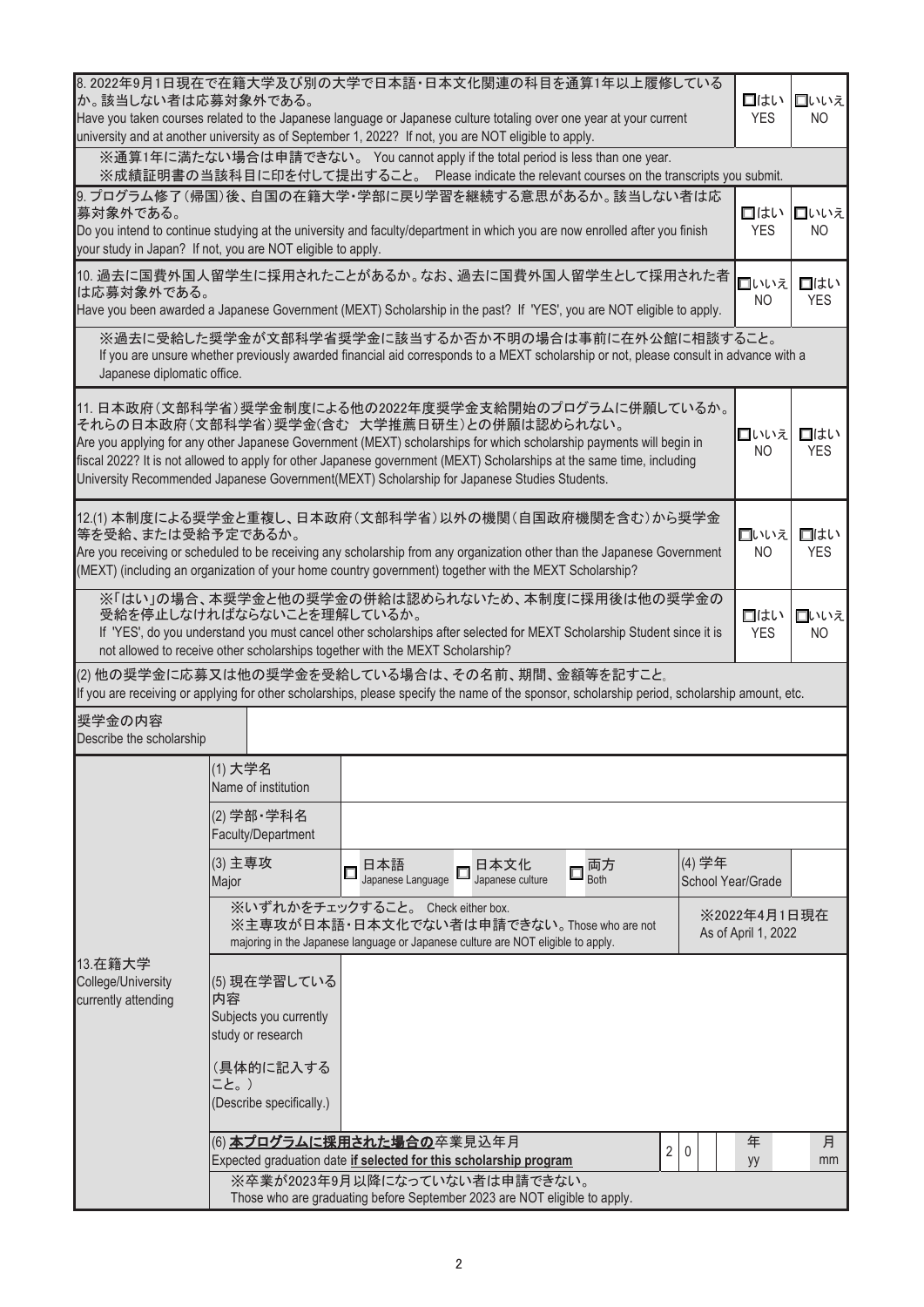| 8.2022年9月1日現在で在籍大学及び別の大学で日本語・日本文化関連の科目を通算1年以上履修している<br>か。該当しない者は応募対象外である。<br>Have you taken courses related to the Japanese language or Japanese culture totaling over one year at your current<br>university and at another university as of September 1, 2022? If not, you are NOT eligible to apply.                                                                                                                                                   | 口はい<br><b>YES</b>                                                                                                                                                                                                                                                                                                                     | ■いいえ<br>NO.                                                                                                                                                                                      |         |         |  |  |  |  |  |  |  |
|-----------------------------------------------------------------------------------------------------------------------------------------------------------------------------------------------------------------------------------------------------------------------------------------------------------------------------------------------------------------------------------------------------------------------------------------------------------|---------------------------------------------------------------------------------------------------------------------------------------------------------------------------------------------------------------------------------------------------------------------------------------------------------------------------------------|--------------------------------------------------------------------------------------------------------------------------------------------------------------------------------------------------|---------|---------|--|--|--|--|--|--|--|
| ※通算1年に満たない場合は申請できない。 You cannot apply if the total period is less than one year.<br>※成績証明書の当該科目に印を付して提出すること。 Please indicate the relevant courses on the transcripts you submit.                                                                                                                                                                                                                                                                          |                                                                                                                                                                                                                                                                                                                                       |                                                                                                                                                                                                  |         |         |  |  |  |  |  |  |  |
| 9. プログラム修了(帰国)後、自国の在籍大学・学部に戻り学習を継続する意思があるか。該当しない者は応<br>募対象外である。<br>Do you intend to continue studying at the university and faculty/department in which you are now enrolled after you finish<br>your study in Japan? If not, you are NOT eligible to apply.                                                                                                                                                                                              | 口はい<br><b>YES</b>                                                                                                                                                                                                                                                                                                                     | □いいえ<br>N <sub>O</sub>                                                                                                                                                                           |         |         |  |  |  |  |  |  |  |
| 10. 過去に国費外国人留学生に採用されたことがあるか。なお、過去に国費外国人留学生として採用された者<br>は応募対象外である。<br>Have you been awarded a Japanese Government (MEXT) Scholarship in the past? If 'YES', you are NOT eligible to apply.                                                                                                                                                                                                                                                                 | 口いいえ<br><b>NO</b>                                                                                                                                                                                                                                                                                                                     | 口はい<br><b>YES</b>                                                                                                                                                                                |         |         |  |  |  |  |  |  |  |
|                                                                                                                                                                                                                                                                                                                                                                                                                                                           | ※過去に受給した奨学金が文部科学省奨学金に該当するか否か不明の場合は事前に在外公館に相談すること。<br>If you are unsure whether previously awarded financial aid corresponds to a MEXT scholarship or not, please consult in advance with a<br>Japanese diplomatic office.                                                                                                             |                                                                                                                                                                                                  |         |         |  |  |  |  |  |  |  |
| 11.日本政府(文部科学省)奨学金制度による他の2022年度奨学金支給開始のプログラムに併願しているか。<br>それらの日本政府(文部科学省)奨学金(含む 大学推薦日研生)との併願は認められない。<br>口いいえ<br>Are you applying for any other Japanese Government (MEXT) scholarships for which scholarship payments will begin in<br>fiscal 2022? It is not allowed to apply for other Japanese government (MEXT) Scholarships at the same time, including<br>University Recommended Japanese Government(MEXT) Scholarship for Japanese Studies Students. |                                                                                                                                                                                                                                                                                                                                       |                                                                                                                                                                                                  |         |         |  |  |  |  |  |  |  |
| 12.(1) 本制度による奨学金と重複し、日本政府(文部科学省)以外の機関(自国政府機関を含む)から奨学金<br>等を受給、または受給予定であるか。<br>口はい<br>口いいえ<br>Are you receiving or scheduled to be receiving any scholarship from any organization other than the Japanese Government<br>N <sub>O</sub><br><b>YES</b><br>(MEXT) (including an organization of your home country government) together with the MEXT Scholarship?                                                                                            |                                                                                                                                                                                                                                                                                                                                       |                                                                                                                                                                                                  |         |         |  |  |  |  |  |  |  |
|                                                                                                                                                                                                                                                                                                                                                                                                                                                           | ※「はい」の場合、本奨学金と他の奨学金の併給は認められないため、本制度に採用後は他の奨学金の<br>受給を停止しなければならないことを理解しているか。<br>□はい<br>口いいえ<br>If 'YES', do you understand you must cancel other scholarships after selected for MEXT Scholarship Student since it is<br><b>YES</b><br>N <sub>O</sub><br>not allowed to receive other scholarships together with the MEXT Scholarship? |                                                                                                                                                                                                  |         |         |  |  |  |  |  |  |  |
|                                                                                                                                                                                                                                                                                                                                                                                                                                                           |                                                                                                                                                                                                                                                                                                                                       | (2) 他の奨学金に応募又は他の奨学金を受給している場合は、その名前、期間、金額等を記すこと。<br>If you are receiving or applying for other scholarships, please specify the name of the sponsor, scholarship period, scholarship amount, etc. |         |         |  |  |  |  |  |  |  |
| 奨学金の内容<br>Describe the scholarship                                                                                                                                                                                                                                                                                                                                                                                                                        |                                                                                                                                                                                                                                                                                                                                       |                                                                                                                                                                                                  |         |         |  |  |  |  |  |  |  |
|                                                                                                                                                                                                                                                                                                                                                                                                                                                           | (1) 大学名<br>Name of institution                                                                                                                                                                                                                                                                                                        |                                                                                                                                                                                                  |         |         |  |  |  |  |  |  |  |
|                                                                                                                                                                                                                                                                                                                                                                                                                                                           | (2) 学部· 学科名<br>Faculty/Department                                                                                                                                                                                                                                                                                                     |                                                                                                                                                                                                  |         |         |  |  |  |  |  |  |  |
|                                                                                                                                                                                                                                                                                                                                                                                                                                                           | (3) 主専攻<br>Major                                                                                                                                                                                                                                                                                                                      | (4) 学年<br>両方<br>日本語<br>日本文化<br>$\Box$<br>Japanese Language<br>Japanese culture<br><b>Both</b><br>School Year/Grade                                                                               |         |         |  |  |  |  |  |  |  |
| 13.在籍大学<br>College/University<br>currently attending                                                                                                                                                                                                                                                                                                                                                                                                      | ※いずれかをチェックすること。 Check either box.<br>※主専攻が日本語·日本文化でない者は申請できない。Those who are not<br>majoring in the Japanese language or Japanese culture are NOT eligible to apply.                                                                                                                                                                   | ※2022年4月1日現在<br>As of April 1, 2022                                                                                                                                                              |         |         |  |  |  |  |  |  |  |
|                                                                                                                                                                                                                                                                                                                                                                                                                                                           | (5) 現在学習している<br>内容<br>Subjects you currently<br>study or research                                                                                                                                                                                                                                                                     |                                                                                                                                                                                                  |         |         |  |  |  |  |  |  |  |
|                                                                                                                                                                                                                                                                                                                                                                                                                                                           | (具体的に記入する<br>こと。)<br>(Describe specifically.)                                                                                                                                                                                                                                                                                         |                                                                                                                                                                                                  |         |         |  |  |  |  |  |  |  |
|                                                                                                                                                                                                                                                                                                                                                                                                                                                           |                                                                                                                                                                                                                                                                                                                                       | (6) <mark>本プログラムに採用された場合の</mark> 卒業見込年月<br>$\overline{2}$<br>0<br>Expected graduation date if selected for this scholarship program                                                              | 年<br>yy | 月<br>mm |  |  |  |  |  |  |  |
|                                                                                                                                                                                                                                                                                                                                                                                                                                                           |                                                                                                                                                                                                                                                                                                                                       | ※卒業が2023年9月以降になっていない者は申請できない。<br>Those who are graduating before September 2023 are NOT eligible to apply.                                                                                       |         |         |  |  |  |  |  |  |  |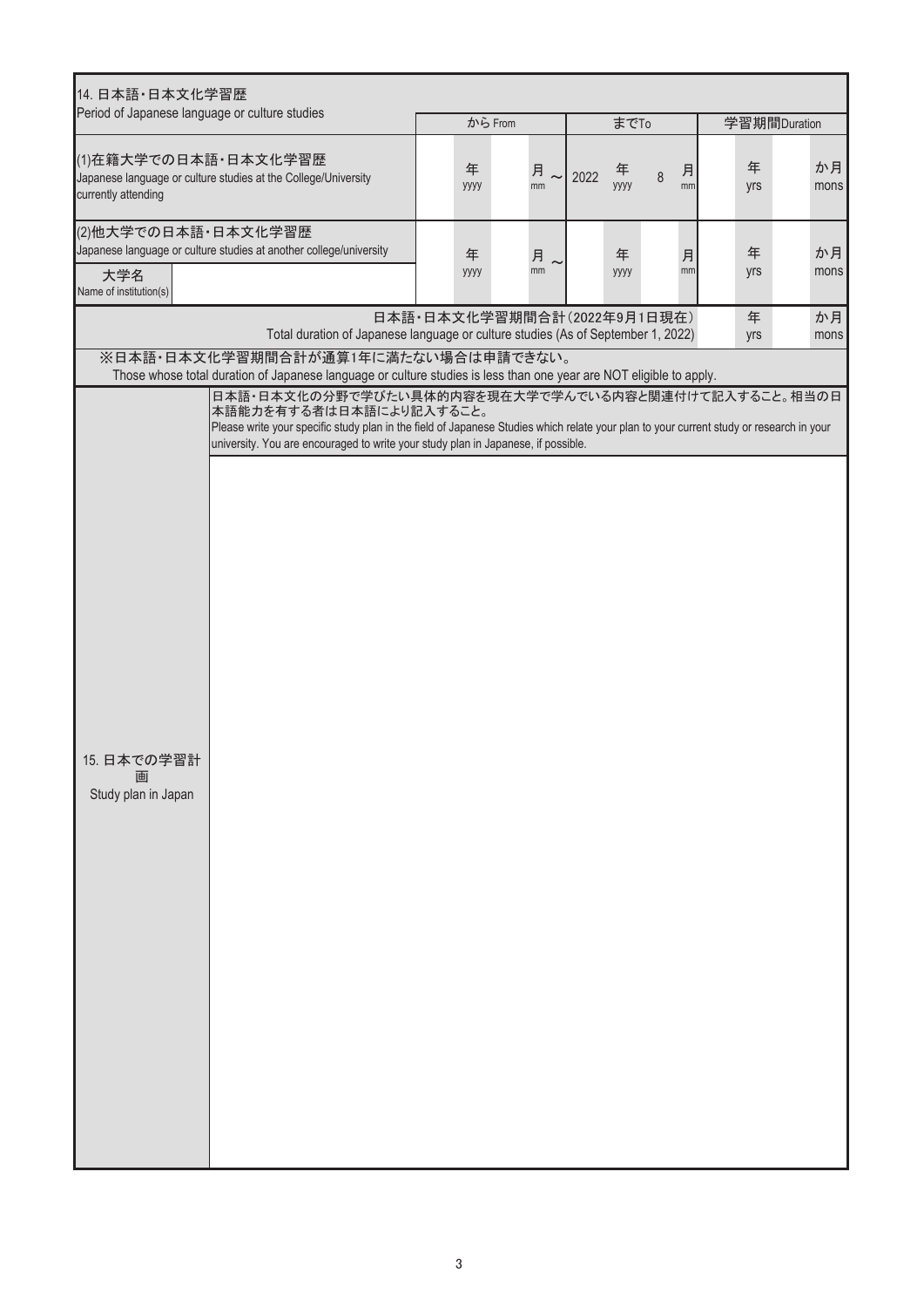| 14. 日本語·日本文化学習歴                                                                                               |                                                                                                                                                                                                                                                                                                                |                             |      |           |      |         |          |            |              |  |
|---------------------------------------------------------------------------------------------------------------|----------------------------------------------------------------------------------------------------------------------------------------------------------------------------------------------------------------------------------------------------------------------------------------------------------------|-----------------------------|------|-----------|------|---------|----------|------------|--------------|--|
| Period of Japanese language or culture studies                                                                |                                                                                                                                                                                                                                                                                                                | から From                     |      |           | までTo |         |          |            | 学習期間Duration |  |
| (1)在籍大学での日本語・日本文化学習歴<br>Japanese language or culture studies at the College/University<br>currently attending | 年<br>уууу                                                                                                                                                                                                                                                                                                      | 月<br>mm                     | 2022 | 年<br>уууу | 8    | 月<br>mm | 年<br>yrs | か月<br>mons |              |  |
| (2)他大学での日本語·日本文化学習歴                                                                                           | Japanese language or culture studies at another college/university                                                                                                                                                                                                                                             | 年                           | 月    |           | 年    |         | 月        | 年          | か月           |  |
| 大学名<br>Name of institution(s)                                                                                 |                                                                                                                                                                                                                                                                                                                | уууу                        | mm   |           | уууу |         | mm       | yrs        | mons         |  |
|                                                                                                               | Total duration of Japanese language or culture studies (As of September 1, 2022)                                                                                                                                                                                                                               | 日本語·日本文化学習期間合計(2022年9月1日現在) |      |           |      |         |          | 年<br>yrs   | か月<br>mons   |  |
|                                                                                                               | ※日本語・日本文化学習期間合計が通算1年に満たない場合は申請できない。<br>Those whose total duration of Japanese language or culture studies is less than one year are NOT eligible to apply.                                                                                                                                                     |                             |      |           |      |         |          |            |              |  |
|                                                                                                               | 日本語・日本文化の分野で学びたい具体的内容を現在大学で学んでいる内容と関連付けて記入すること。相当の日<br>本語能力を有する者は日本語により記入すること。<br>Please write your specific study plan in the field of Japanese Studies which relate your plan to your current study or research in your<br>university. You are encouraged to write your study plan in Japanese, if possible. |                             |      |           |      |         |          |            |              |  |
|                                                                                                               |                                                                                                                                                                                                                                                                                                                |                             |      |           |      |         |          |            |              |  |
|                                                                                                               |                                                                                                                                                                                                                                                                                                                |                             |      |           |      |         |          |            |              |  |
| 15. 日本での学習計<br>画<br>Study plan in Japan                                                                       |                                                                                                                                                                                                                                                                                                                |                             |      |           |      |         |          |            |              |  |
|                                                                                                               |                                                                                                                                                                                                                                                                                                                |                             |      |           |      |         |          |            |              |  |
|                                                                                                               |                                                                                                                                                                                                                                                                                                                |                             |      |           |      |         |          |            |              |  |
|                                                                                                               |                                                                                                                                                                                                                                                                                                                |                             |      |           |      |         |          |            |              |  |
|                                                                                                               |                                                                                                                                                                                                                                                                                                                |                             |      |           |      |         |          |            |              |  |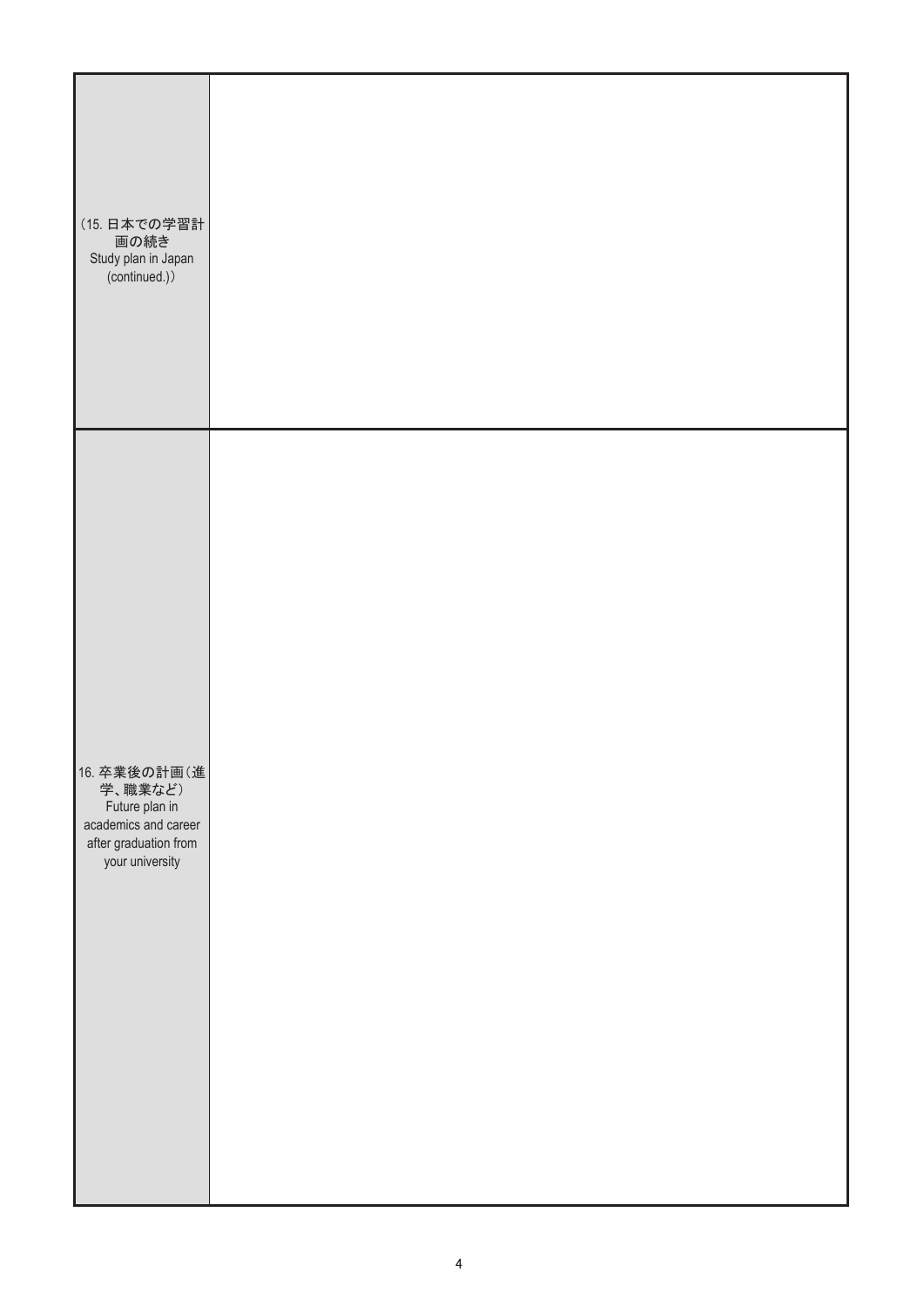| (15. 日本での学習計<br>画の続き<br>Study plan in Japan<br>(continued.))                                                  |  |  |  |
|---------------------------------------------------------------------------------------------------------------|--|--|--|
| 16. 卒業後の計画(進<br>学、職業など)<br>Future plan in<br>academics and career<br>after graduation from<br>your university |  |  |  |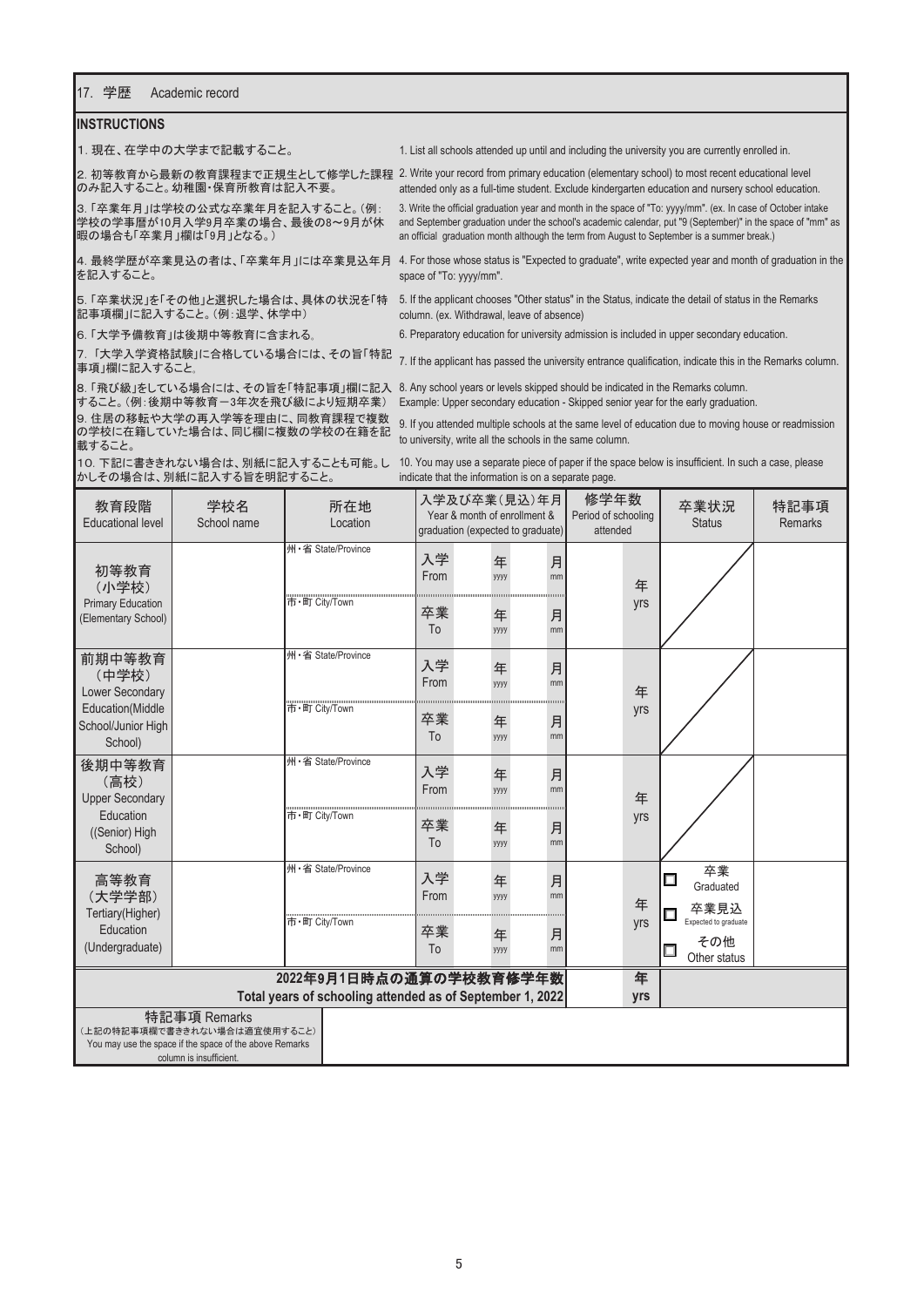## 17. 学歴 Academic record

## **INSTRUCTIONS**

䠍㻚㻌⌧ᅾ䚸ᅾᏛ୰䛾Ꮫ䜎䛷グ㍕䛩䜛䛣䛸䚹 1. List all schools attended up until and including the university you are currently enrolled in.

2. 初等教育から最新の教育課程まで正規生として修学した課程 2. Write your record from primary education (elementary school) to most recent educational level ○ み記入すること。幼稚園・保育所教育は記入不要。

暇の場合も「卒業月」欄は「9月」となる。)

を記入すること。

記事項欄」に記入すること。(例:退学、休学中)

9. 住居の移転や大学の再入学等を理由に、同教育課程で複数 䛾Ꮫᰯ䛻ᅾ⡠䛧䛶䛔䛯ሙྜ䛿䚸ྠ䛨ḍ䛻」ᩘ䛾Ꮫᰯ䛾ᅾ⡠䜢グ 載すること。 8. 「飛び級」をしている場合には、その旨を「特記事項」欄に記入 8. Any school years or levels skipped should be indicated in the Remarks column. すること。(例 :後期中等教育一3年次を飛び級により短期卒業) Example: Upper secondary education - Skipped senior year for the early graduation.

attended only as a full-time student. Exclude kindergarten education and nursery school education.

3.「卒業年月」は学校の公式な卒業年月を記入すること。(例: )3. Write the official graduation year and month in the space of "To: yyyy/mm". (ex. In case of October intake 学校の学事暦が10月入学9月卒業の場合、最後の8~9月が休 and September graduation under the school's academic calendar, put "9 (September)" in the space of "mm" as an official graduation month although the term from August to September is a summer break.)

4. 最終学歴が卒業見込の者は、「卒業年月」には卒業見込年月 4. For those whose status is "Expected to graduate", write expected year and month of graduation in the space of "To: yyyy/mm".

5. 「卒業状況」を「その他」と選択した場合は、具体の状況を「特 5. If the applicant chooses "Other status" in the Status, indicate the detail of status in the Remarks column. (ex. Withdrawal, leave of absence)

䠒㻚㻌䛂Ꮫணഛᩍ⫱䛃䛿ᚋᮇ୰➼ᩍ⫱䛻ྵ䜎䜜䜛䡝 6. Preparatory education for university admission is included in upper secondary education.

7. 「大学入学資格試験」に合格している場合には、その旨「特記 7. If the applicant has passed the university entrance qualification, indicate this in the Remarks column.<br>事項」欄に記入すること。

9. If you attended multiple schools at the same level of education due to moving house or readmission to university, write all the schools in the same column.

10.下記に書ききれない場合は、別紙に記入することも可能。し かしその場合は、別紙に記入する旨を明記すること。

10. You may use a separate piece of paper if the space below is insufficient. In such a case, please indicate that the information is on a separate page.

| 教育段階<br><b>Educational level</b>                                                                                   | 学校名<br>School name |               | 所在地<br>Location    |            | Year & month of enrollment & |           | 入学及び卒業(見込)年月<br>graduation (expected to graduate) | 修学年数<br>Period of schooling<br>attended |  | 卒業状況<br><b>Status</b>                       | 特記事項<br><b>Remarks</b> |
|--------------------------------------------------------------------------------------------------------------------|--------------------|---------------|--------------------|------------|------------------------------|-----------|---------------------------------------------------|-----------------------------------------|--|---------------------------------------------|------------------------|
| 初等教育<br>(小学校)<br><b>Primary Education</b><br>(Elementary School)                                                   |                    |               | 州·省 State/Province | 入学<br>From |                              | 年<br>уууу | 月<br>mm                                           | 年                                       |  |                                             |                        |
|                                                                                                                    |                    | 市·町 Citv/Town |                    | 卒業<br>To   |                              | 年<br>уууу | 月<br>mm                                           | yrs                                     |  |                                             |                        |
| 前期中等教育<br>(中学校)<br>Lower Secondary                                                                                 |                    |               | 州·省 State/Province | 入学<br>From |                              | 年<br>уууу | 月<br>mm                                           | 年                                       |  |                                             |                        |
| Education(Middle<br>School/Junior High<br>School)                                                                  |                    | 市·町 City/Town |                    | 卒業<br>To   |                              | 年<br>уууу | 月<br>mm                                           | yrs                                     |  |                                             |                        |
| 後期中等教育<br>(高校)<br><b>Upper Secondary</b><br>Education<br>((Senior) High<br>School)                                 |                    |               | 州·省 State/Province | 入学<br>From |                              | 年<br>уууу | 月<br>mm                                           | 年                                       |  |                                             |                        |
|                                                                                                                    |                    | 市·町 City/Town |                    | 卒業<br>To   |                              | 年<br>уууу | 月<br>mm                                           | yrs                                     |  |                                             |                        |
| 高等教育<br>(大学学部)<br>Tertiary(Higher)<br>Education<br>(Undergraduate)                                                 |                    |               | 州·省 State/Province | 入学<br>From |                              | 年<br>уууу | 月<br>mm                                           | 年                                       |  | 卒業<br>囗<br>Graduated<br>卒業見込                |                        |
|                                                                                                                    |                    | 市·町 City/Town |                    | 卒業<br>To   |                              | 年<br>уууу | 月<br>mm                                           | yrs                                     |  | Expected to graduate<br>その他<br>Other status |                        |
| 2022年9月1日時点の通算の学校教育修学年数                                                                                            |                    |               |                    |            |                              | 年         |                                                   |                                         |  |                                             |                        |
| Total years of schooling attended as of September 1, 2022<br>特記事項 Remarks                                          |                    |               |                    |            |                              |           | yrs                                               |                                         |  |                                             |                        |
| (上記の特記事項欄で書ききれない場合は適宜使用すること)<br>You may use the space if the space of the above Remarks<br>column is insufficient. |                    |               |                    |            |                              |           |                                                   |                                         |  |                                             |                        |